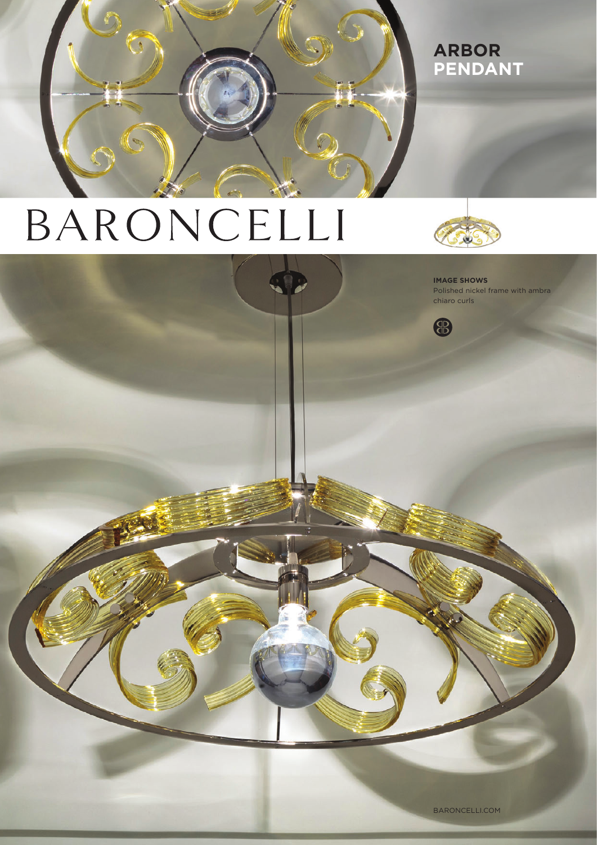

## **arBOR PENDANT**

# BARONCELLI



**IMAGE SHOWS**  Polished nickel frame with ambra chiaro curls



BARONCELLI.COM